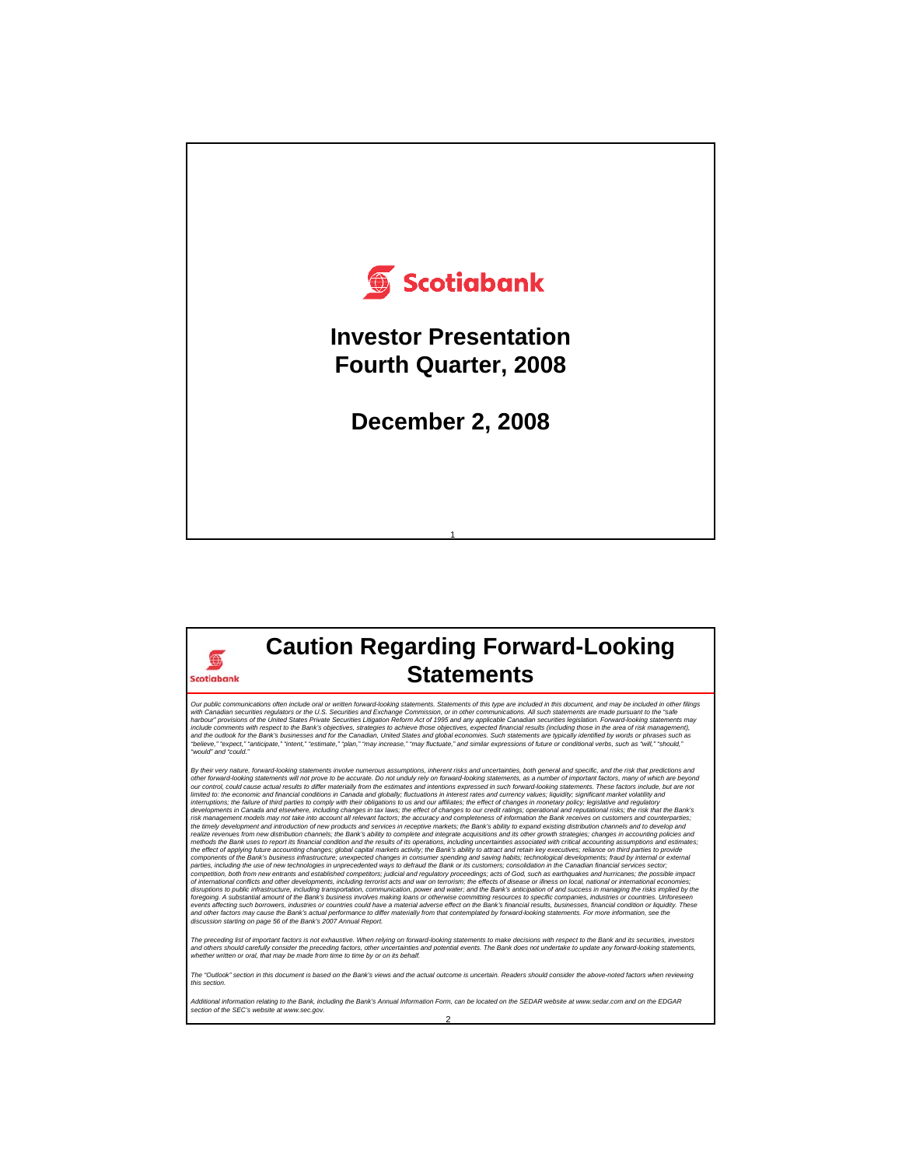

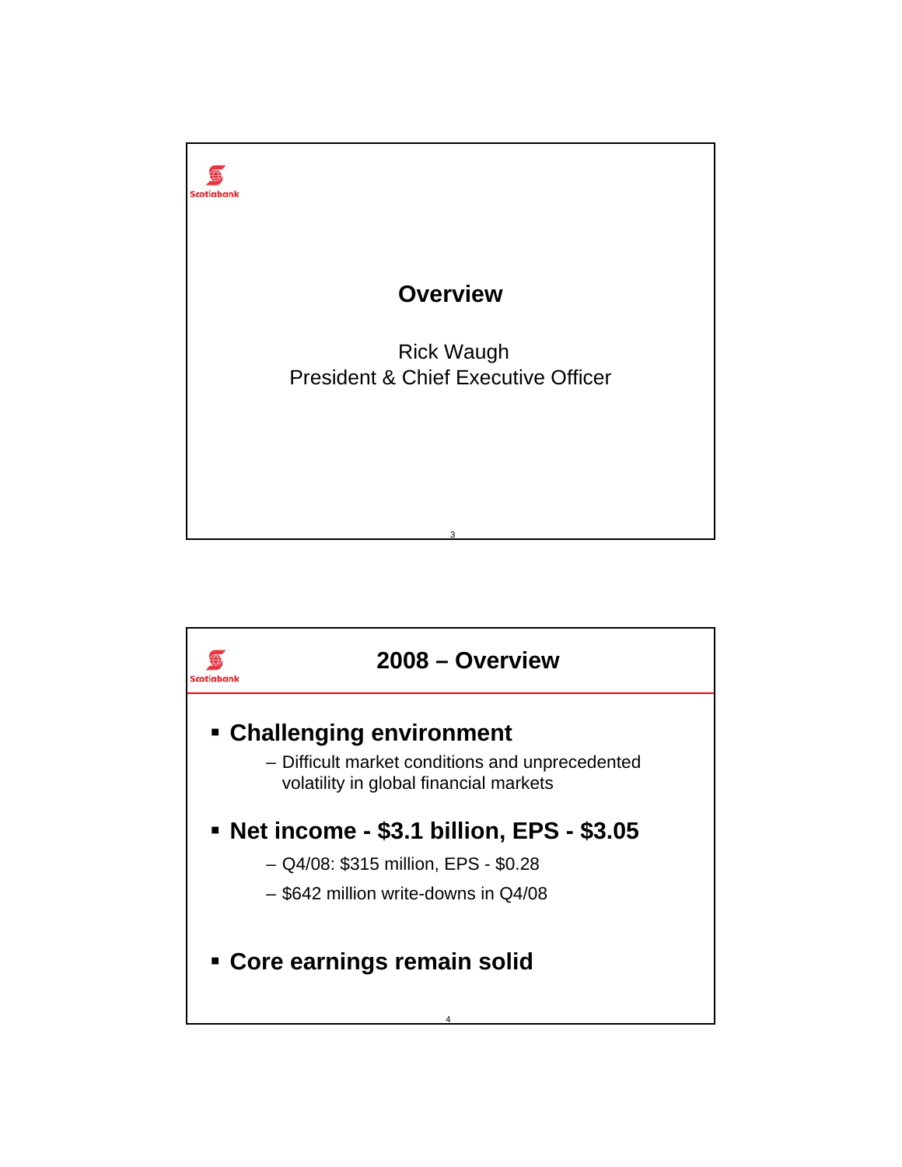

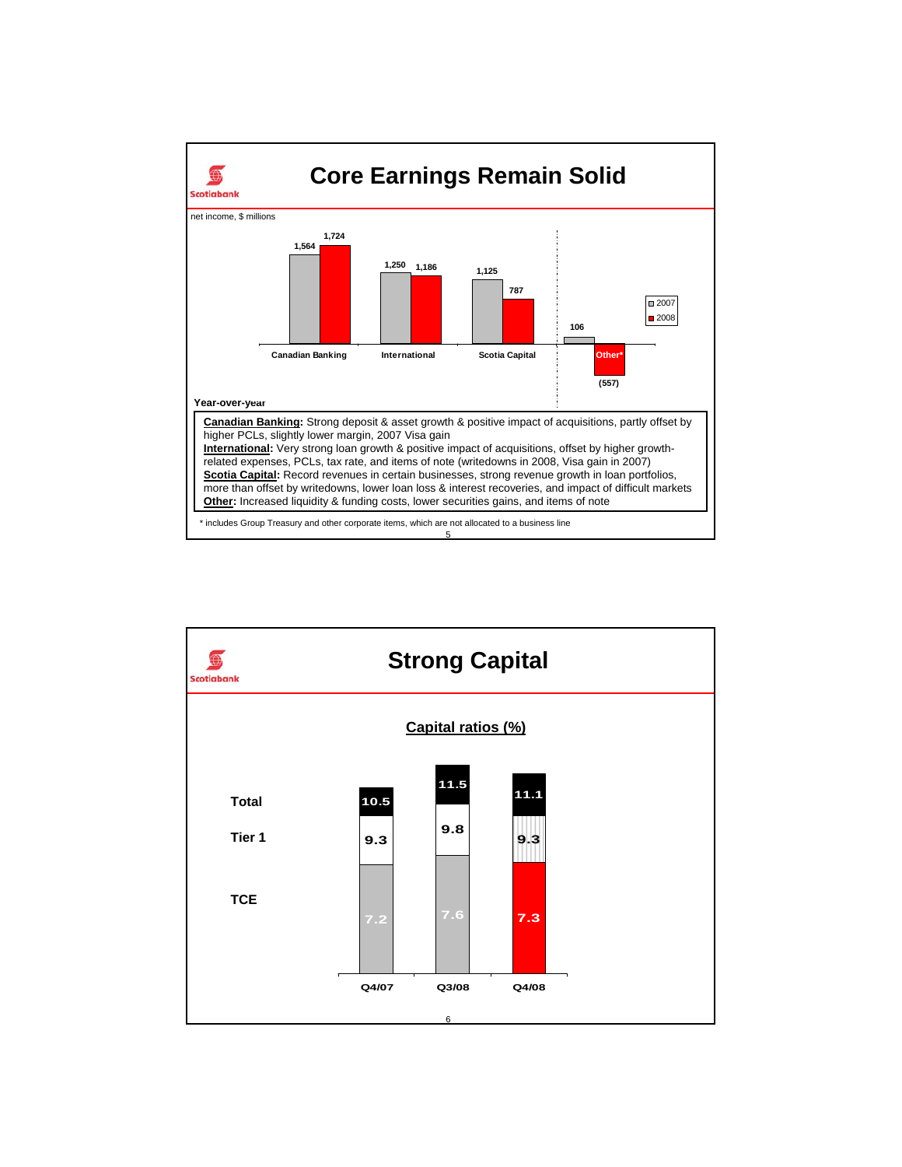

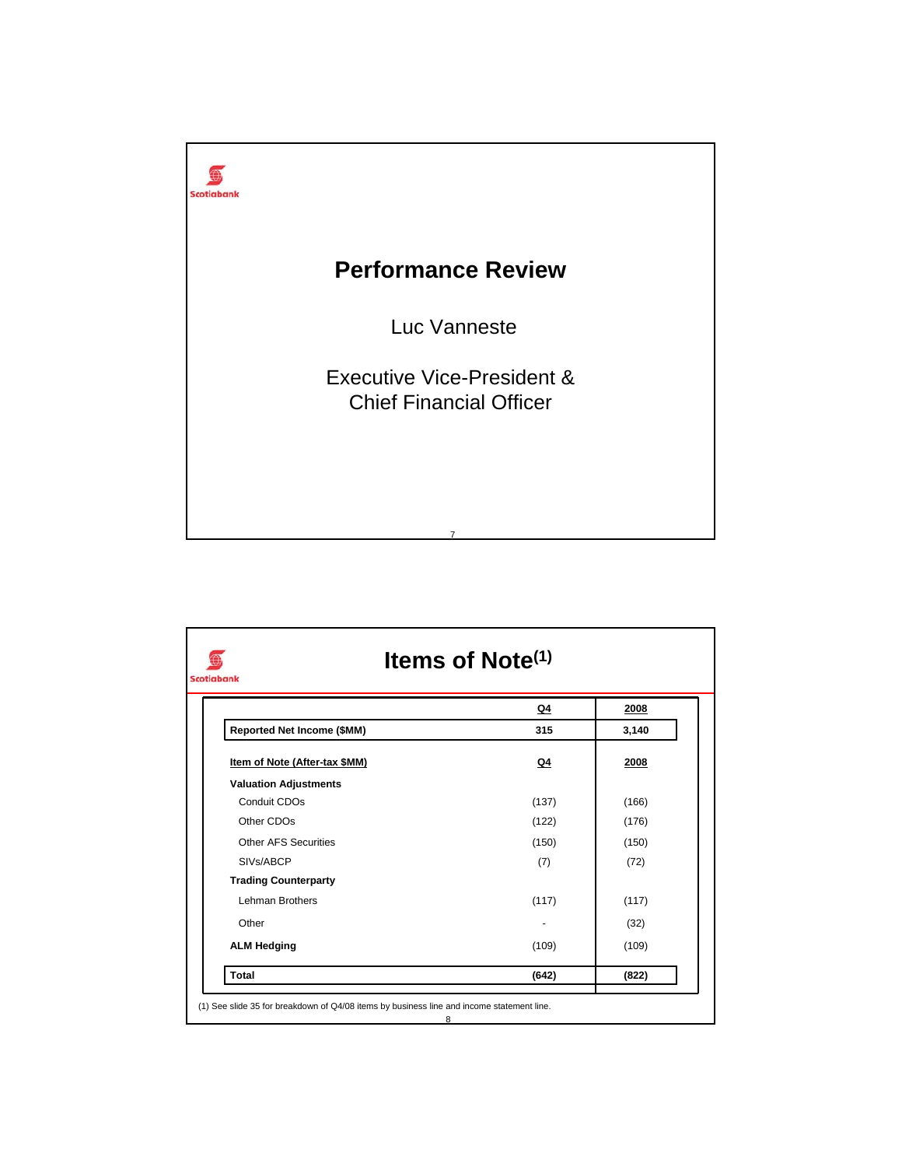

|                               | Q4    | 2008  |
|-------------------------------|-------|-------|
| Reported Net Income (\$MM)    | 315   | 3,140 |
| Item of Note (After-tax \$MM) | Q4    | 2008  |
| <b>Valuation Adjustments</b>  |       |       |
| Conduit CDOs                  | (137) | (166) |
| Other CDOs                    | (122) | (176) |
| Other AFS Securities          | (150) | (150) |
| SIVs/ABCP                     | (7)   | (72)  |
| <b>Trading Counterparty</b>   |       |       |
| Lehman Brothers               | (117) | (117) |
| Other                         |       | (32)  |
| <b>ALM Hedging</b>            | (109) | (109) |
| <b>Total</b>                  | (642) | (822) |

8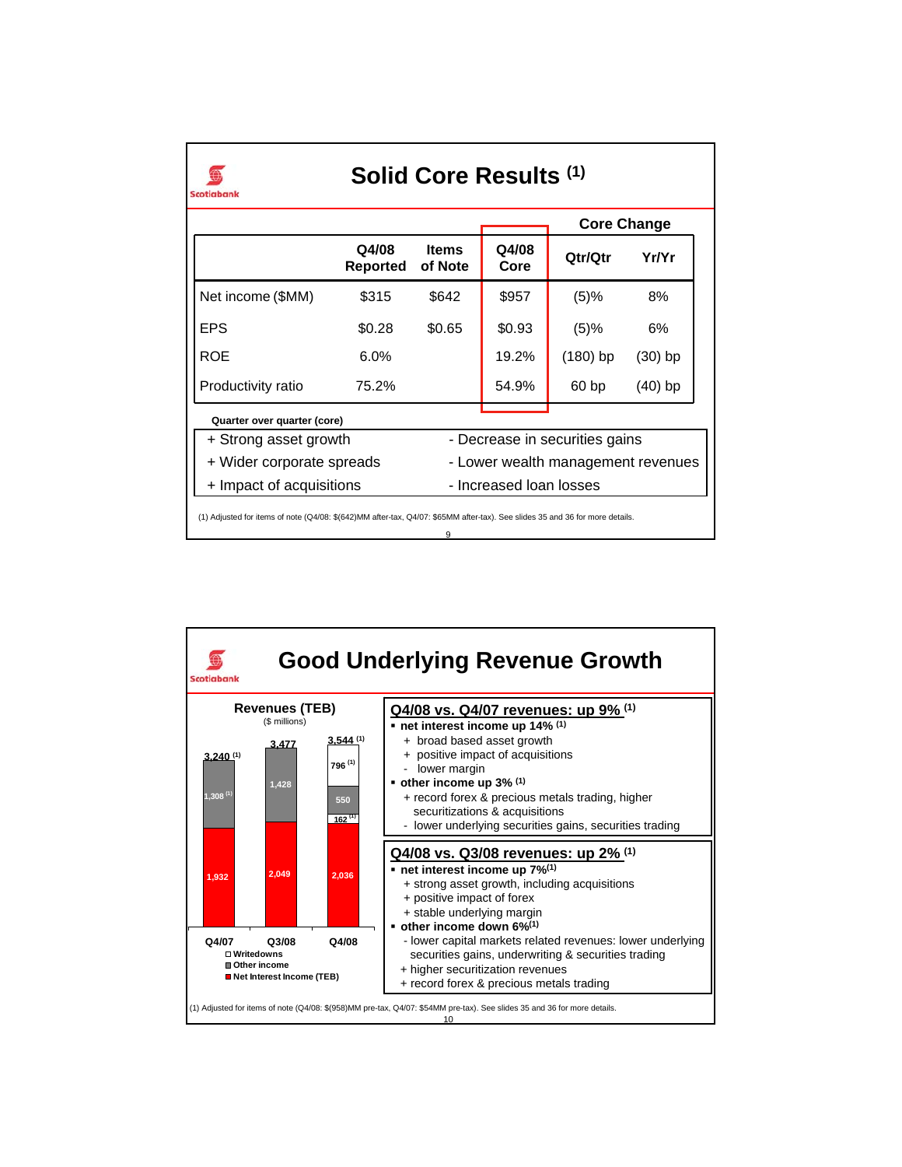|                             |                          |                         |                         |                                    | <b>Core Change</b> |  |
|-----------------------------|--------------------------|-------------------------|-------------------------|------------------------------------|--------------------|--|
|                             | Q4/08<br><b>Reported</b> | <b>Items</b><br>of Note | Q4/08<br>Core           | Qtr/Qtr                            | Yr/Yr              |  |
| Net income (\$MM)           | \$315                    | \$642                   | \$957                   | (5)%                               | 8%                 |  |
| <b>EPS</b>                  | \$0.28                   | \$0.65                  | \$0.93                  | (5)%                               | 6%                 |  |
| ROE                         | $6.0\%$                  |                         | 19.2%                   | $(180)$ bp                         | (30) bp            |  |
| Productivity ratio          | 75.2%                    |                         | 54.9%                   | 60 <sub>bp</sub>                   | (40) bp            |  |
| Quarter over quarter (core) |                          |                         |                         |                                    |                    |  |
| + Strong asset growth       |                          |                         |                         | - Decrease in securities gains     |                    |  |
| + Wider corporate spreads   |                          |                         |                         | - Lower wealth management revenues |                    |  |
| + Impact of acquisitions    |                          |                         | - Increased Ioan Iosses |                                    |                    |  |

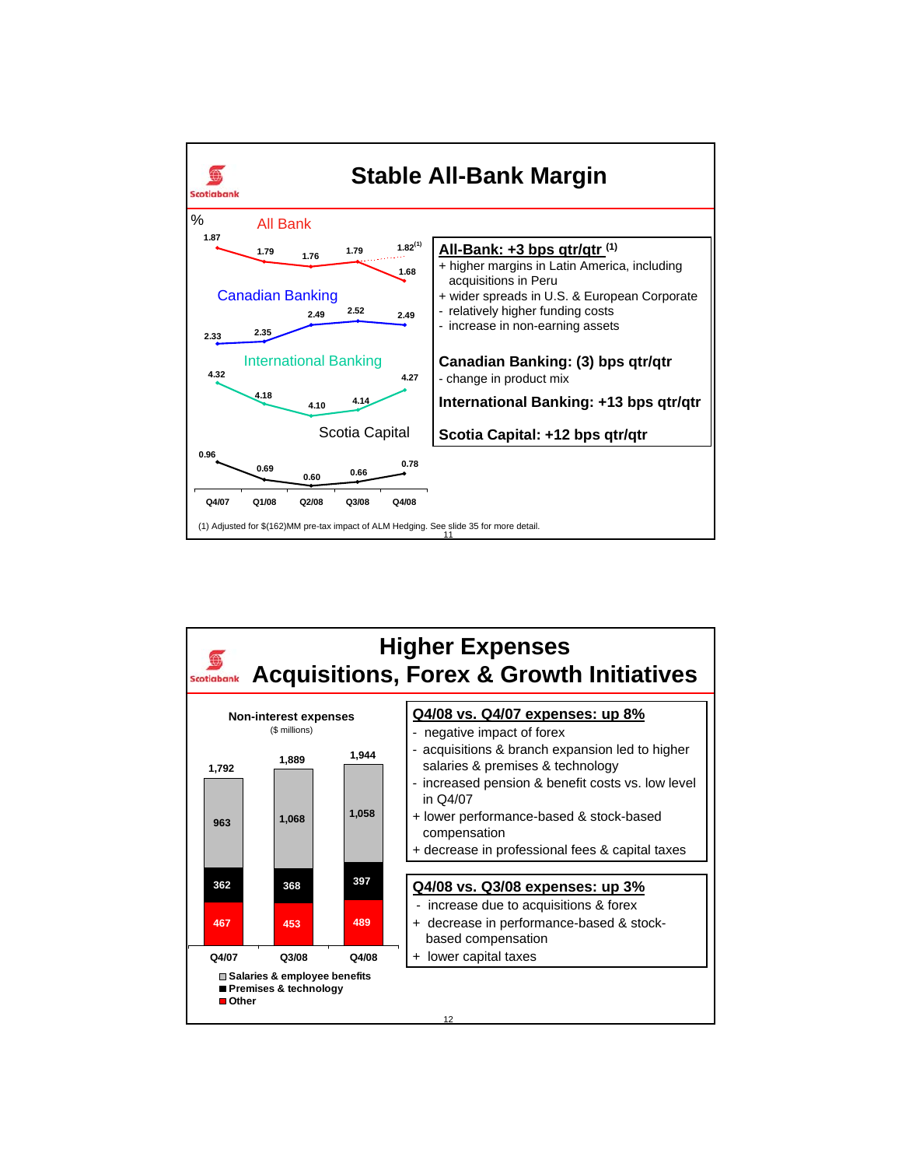

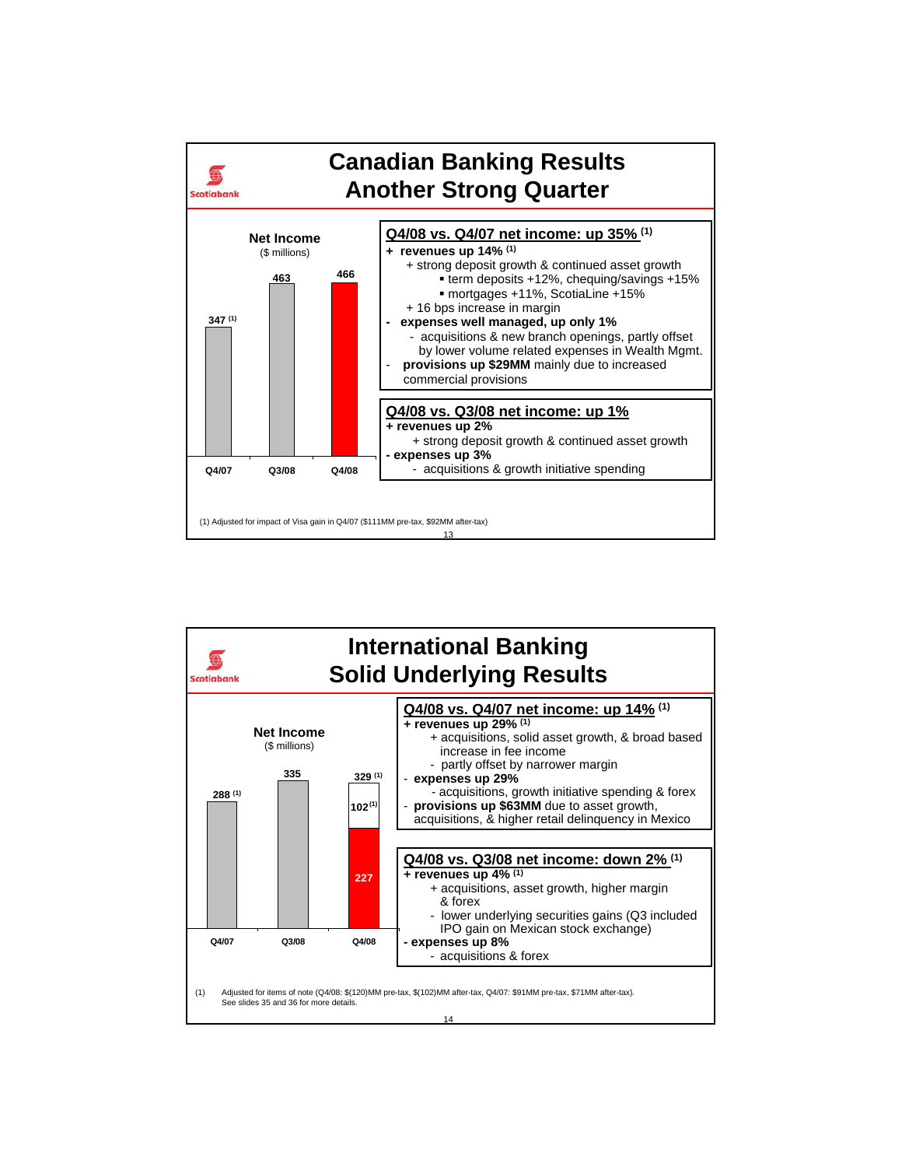

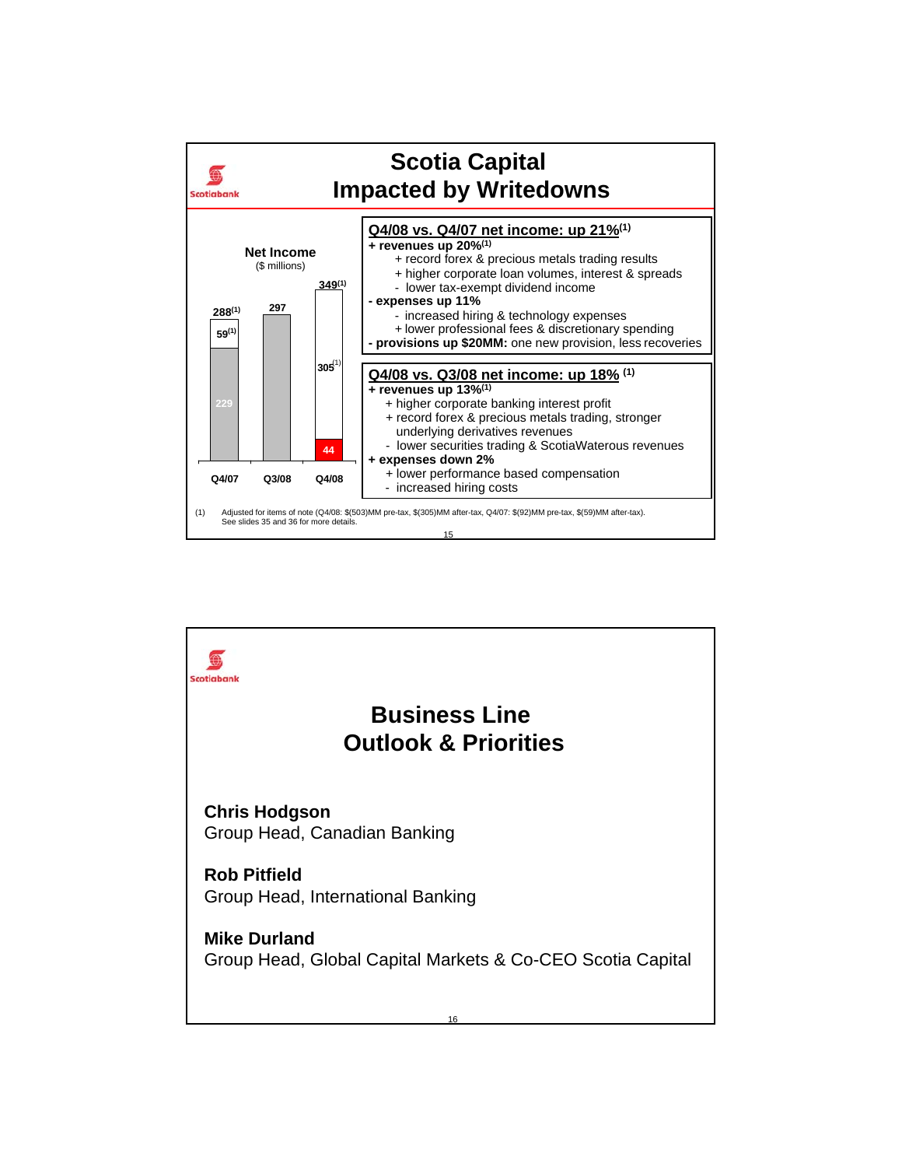

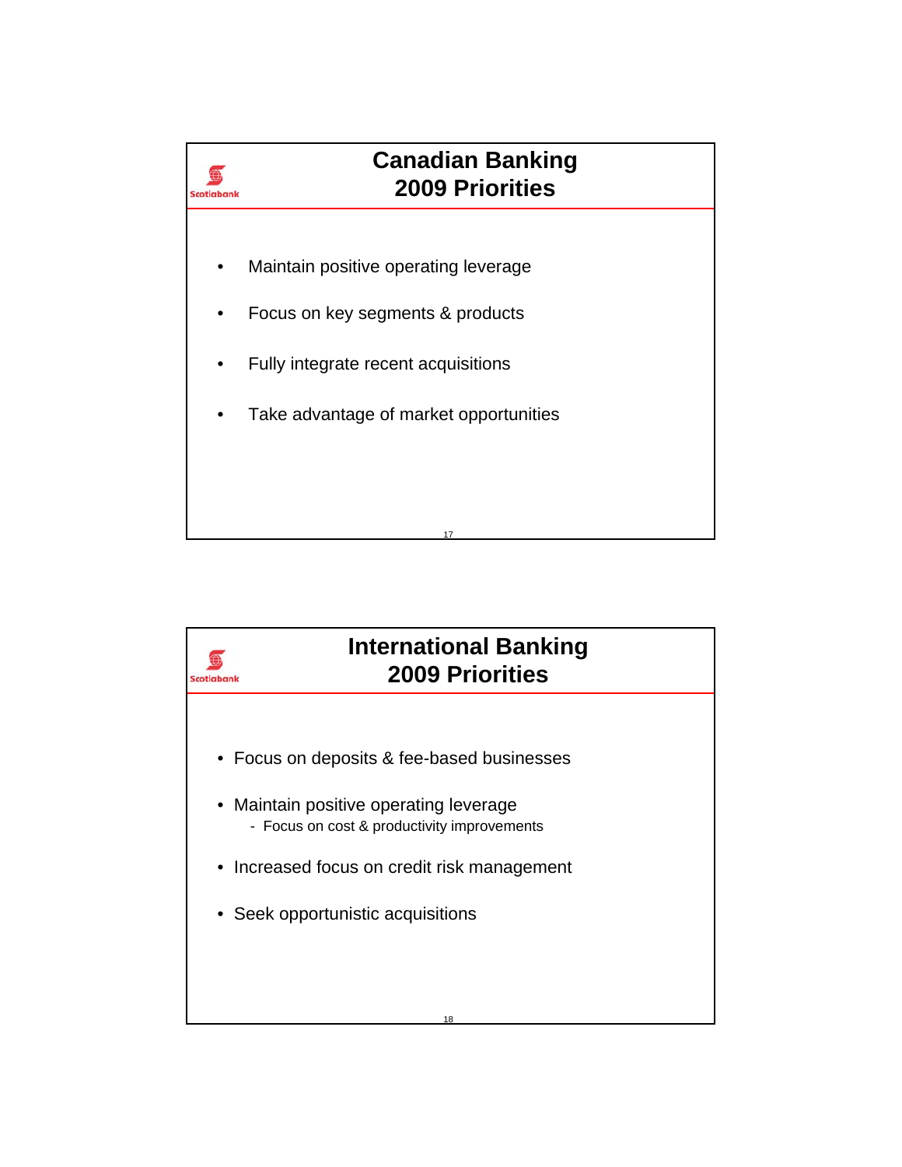

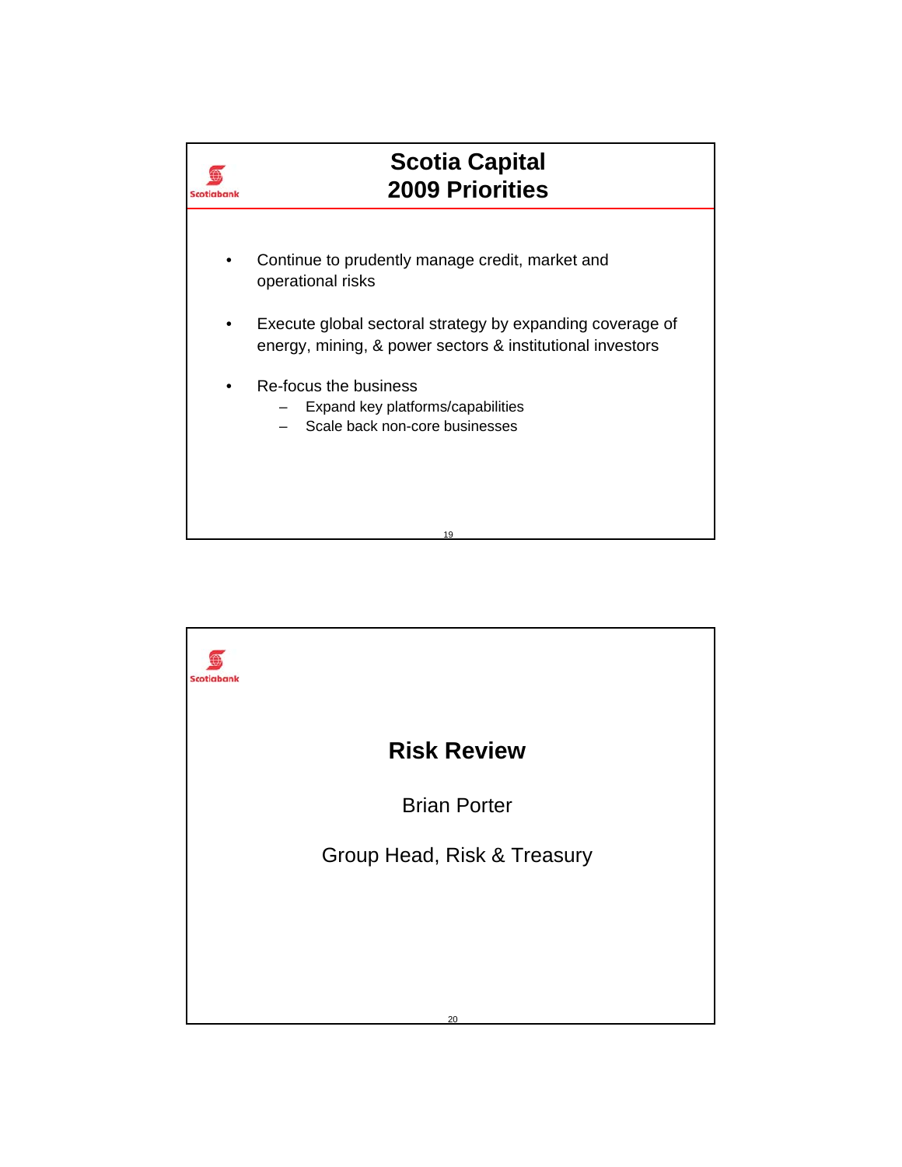

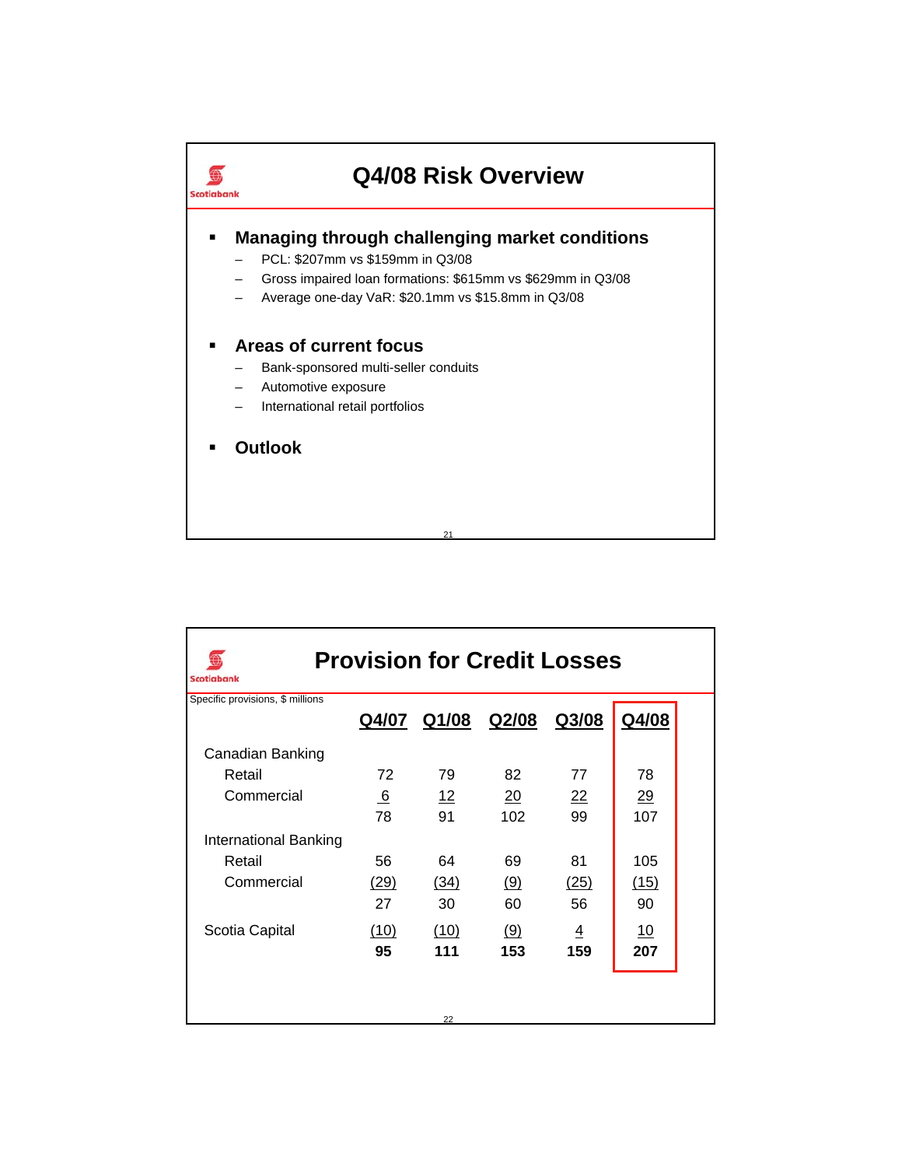

| <b>Provision for Credit Losses</b><br>Scotiabank |       |       |       |                |       |  |  |
|--------------------------------------------------|-------|-------|-------|----------------|-------|--|--|
| Specific provisions, \$ millions                 | Q4/07 | Q1/08 | Q2/08 | Q3/08          | Q4/08 |  |  |
| Canadian Banking                                 |       |       |       |                |       |  |  |
| Retail                                           | 72    | 79    | 82    | 77             | 78    |  |  |
| Commercial                                       | 6     | 12    | 20    | 22             | 29    |  |  |
|                                                  | 78    | 91    | 102   | 99             | 107   |  |  |
| International Banking                            |       |       |       |                |       |  |  |
| Retail                                           | 56    | 64    | 69    | 81             | 105   |  |  |
| Commercial                                       | (29)  | (34)  | (9)   | (25)           | (15)  |  |  |
|                                                  | 27    | 30    | 60    | 56             | 90    |  |  |
| Scotia Capital                                   | (10)  | (10)  | (9)   | $\overline{4}$ | 10    |  |  |
|                                                  | 95    | 111   | 153   | 159            | 207   |  |  |
|                                                  |       | 22    |       |                |       |  |  |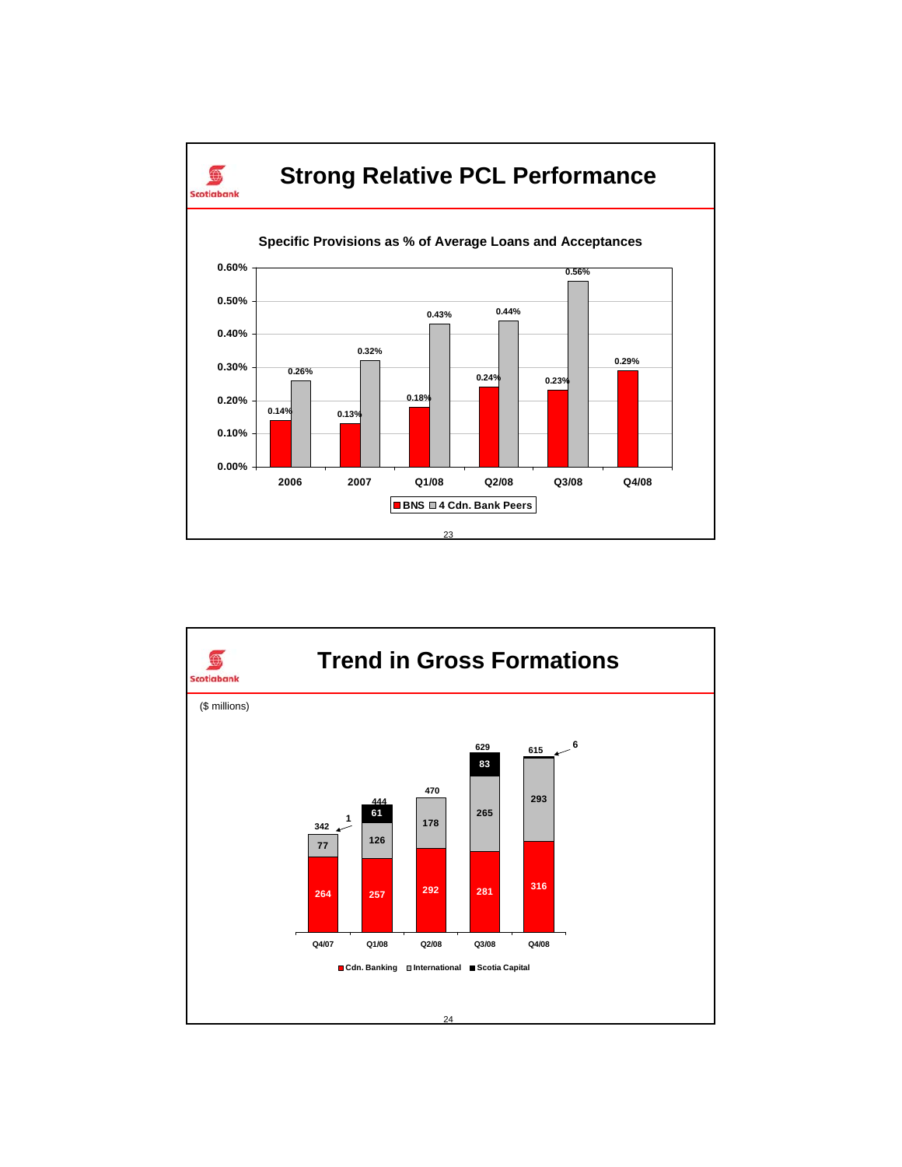

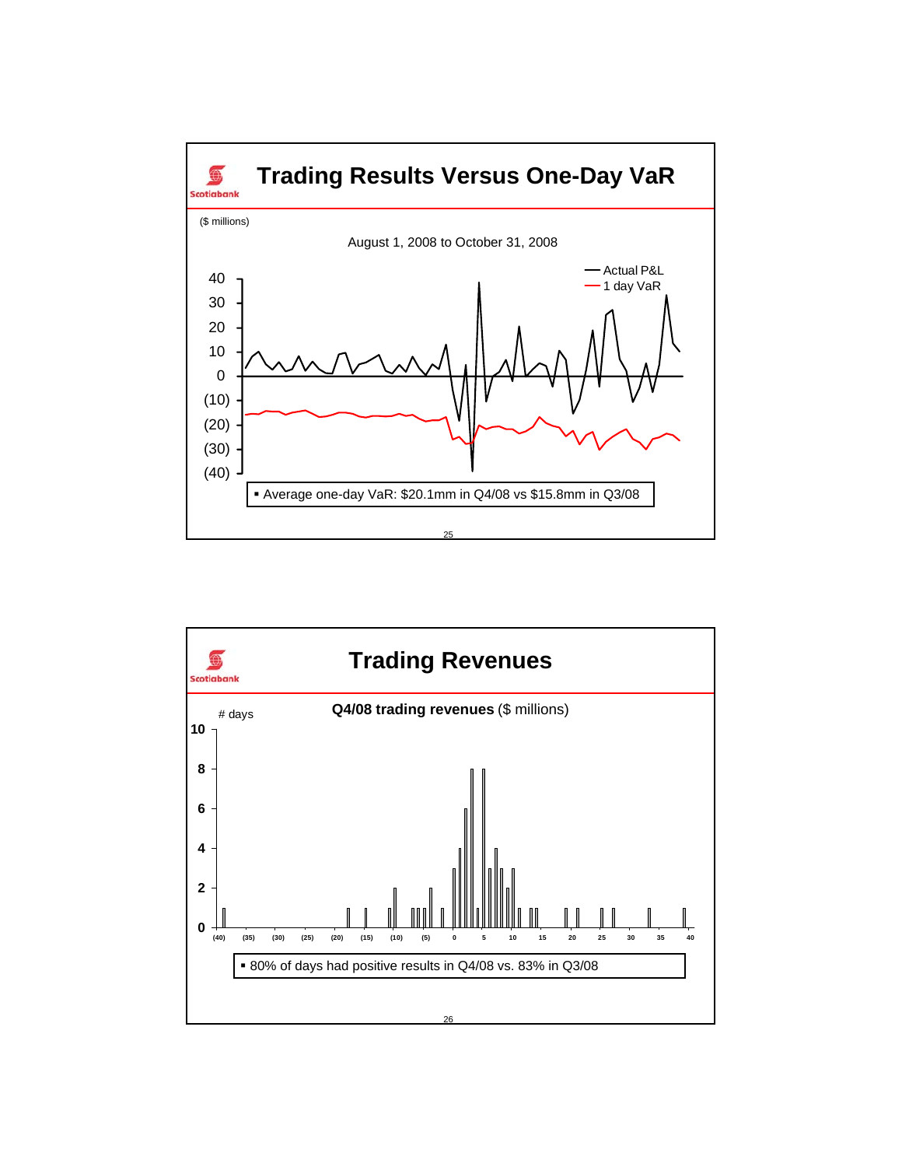

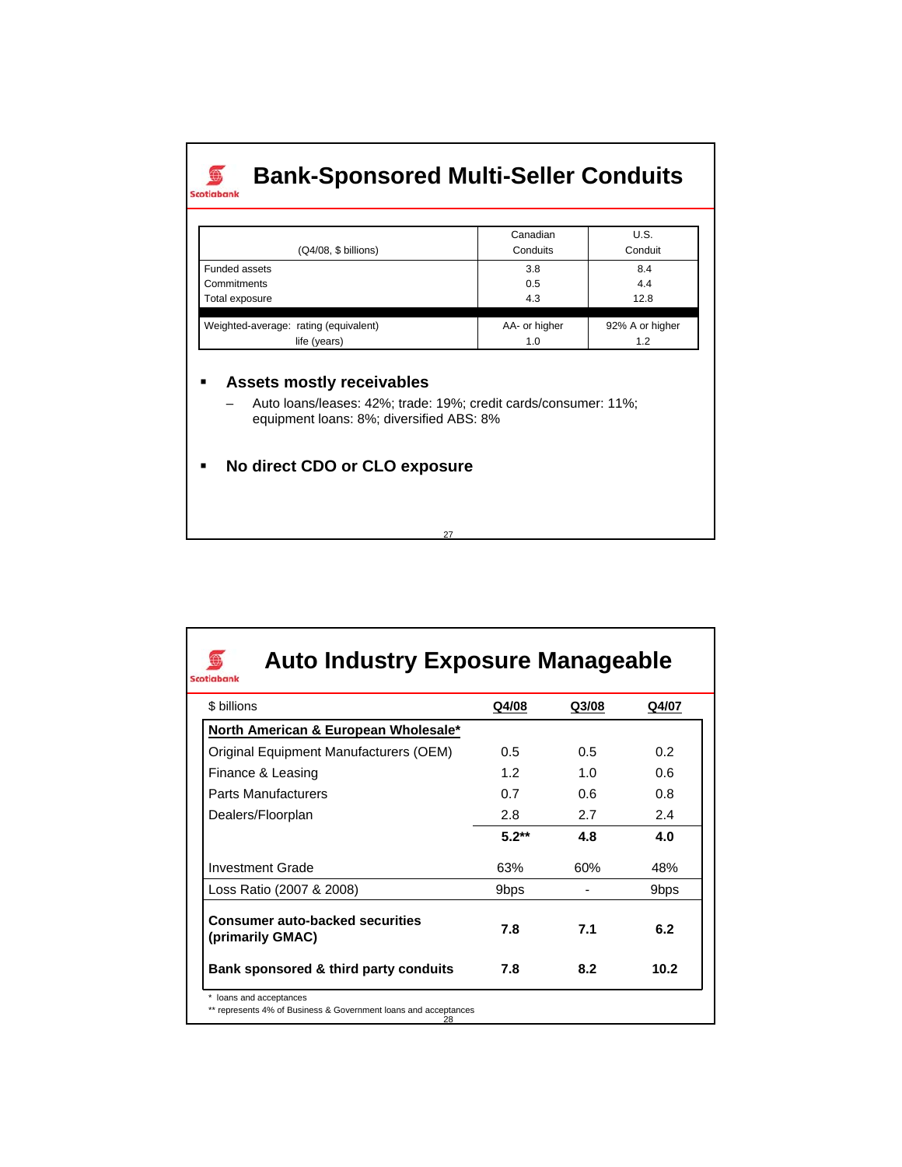## **Bank-Sponsored Multi-Seller Conduits**  $\overline{\text{Scotiabank}}$

| (Q4/08, \$ billions)                  | Canadian<br>Conduits | U.S.<br>Conduit |
|---------------------------------------|----------------------|-----------------|
| Funded assets                         | 3.8                  | 8.4             |
| Commitments                           | 0.5                  | 4.4             |
| Total exposure                        | 4.3                  | 12.8            |
|                                       |                      |                 |
| Weighted-average: rating (equivalent) | AA- or higher        | 92% A or higher |
| life (years)                          | 1.0                  | 1.2             |

## **Assets mostly receivables**

– Auto loans/leases: 42%; trade: 19%; credit cards/consumer: 11%; equipment loans: 8%; diversified ABS: 8%

27

**No direct CDO or CLO exposure**

| \$ billions                                                | Q4/08            | Q3/08 | Q4/07            |
|------------------------------------------------------------|------------------|-------|------------------|
| North American & European Wholesale*                       |                  |       |                  |
| Original Equipment Manufacturers (OEM)                     | $0.5^{\circ}$    | 0.5   | 0.2 <sub>2</sub> |
| Finance & Leasing                                          | 12               | 1.0   | 0.6              |
| <b>Parts Manufacturers</b>                                 | 0.7              | 0.6   | 0.8              |
| Dealers/Floorplan                                          | 2.8              | 2.7   | 2.4              |
|                                                            | $5.2**$          | 4.8   | 4.0              |
| <b>Investment Grade</b>                                    | 63%              | 60%   | 48%              |
| Loss Ratio (2007 & 2008)                                   | 9 <sub>bps</sub> |       | 9bps             |
| <b>Consumer auto-backed securities</b><br>(primarily GMAC) | 7.8              | 7.1   | 6.2              |
| Bank sponsored & third party conduits                      | 7.8              | 8.2   | 10.2             |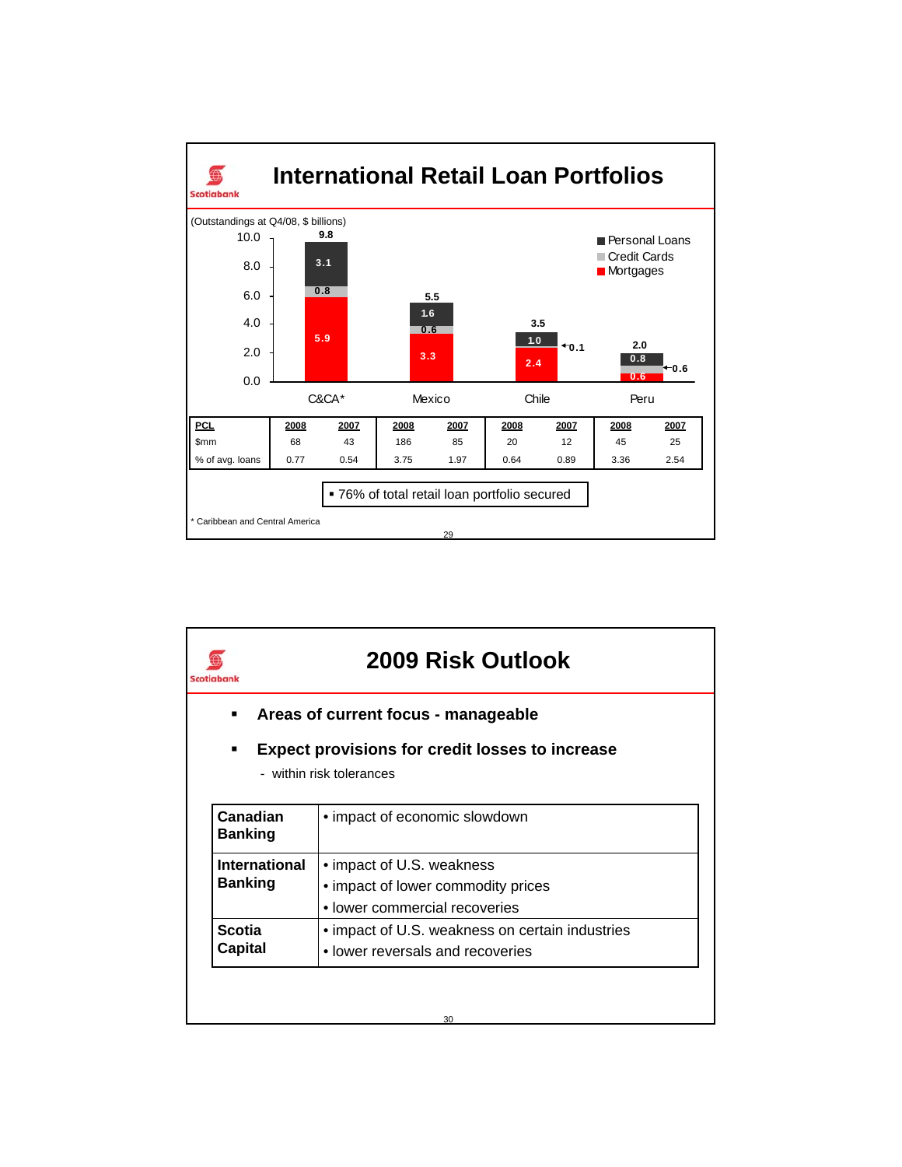

| 2009 Risk Outlook                                           |                                                                                                  |  |  |  |  |  |  |
|-------------------------------------------------------------|--------------------------------------------------------------------------------------------------|--|--|--|--|--|--|
| Areas of current focus - manageable                         |                                                                                                  |  |  |  |  |  |  |
| <b>Expect provisions for credit losses to increase</b><br>٠ |                                                                                                  |  |  |  |  |  |  |
| - within risk tolerances                                    |                                                                                                  |  |  |  |  |  |  |
| Canadian<br><b>Banking</b>                                  | • impact of economic slowdown                                                                    |  |  |  |  |  |  |
| International<br><b>Banking</b>                             | • impact of U.S. weakness<br>• impact of lower commodity prices<br>• lower commercial recoveries |  |  |  |  |  |  |
| <b>Scotia</b><br>Capital                                    | • impact of U.S. weakness on certain industries<br>• lower reversals and recoveries              |  |  |  |  |  |  |
|                                                             |                                                                                                  |  |  |  |  |  |  |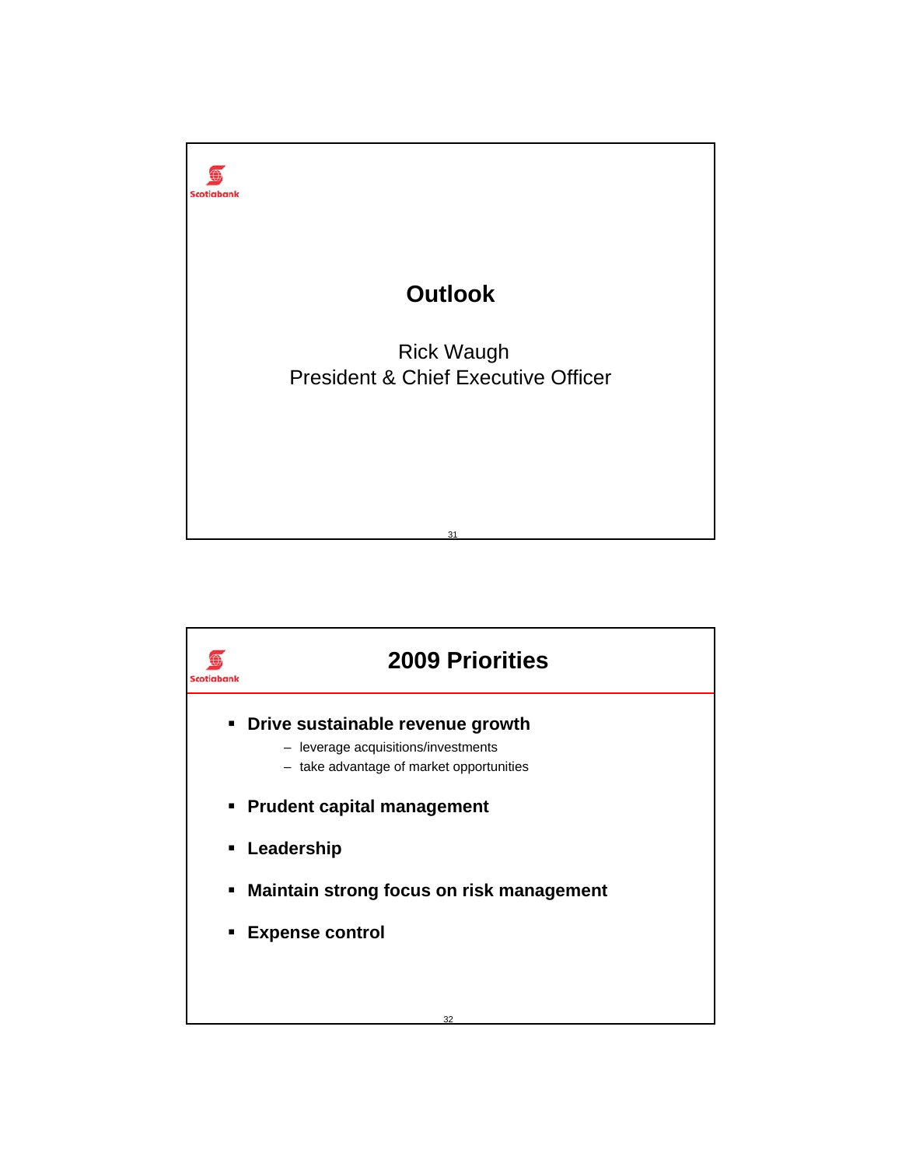

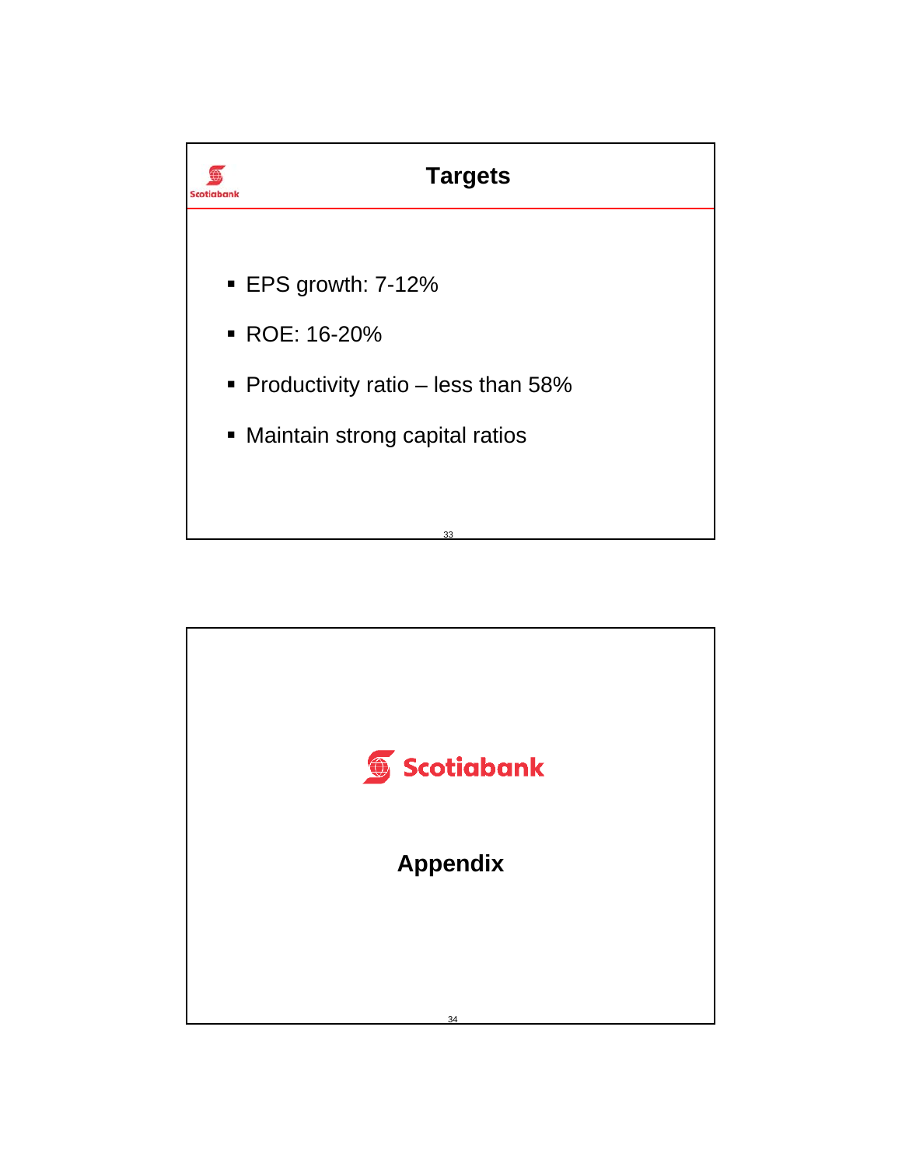

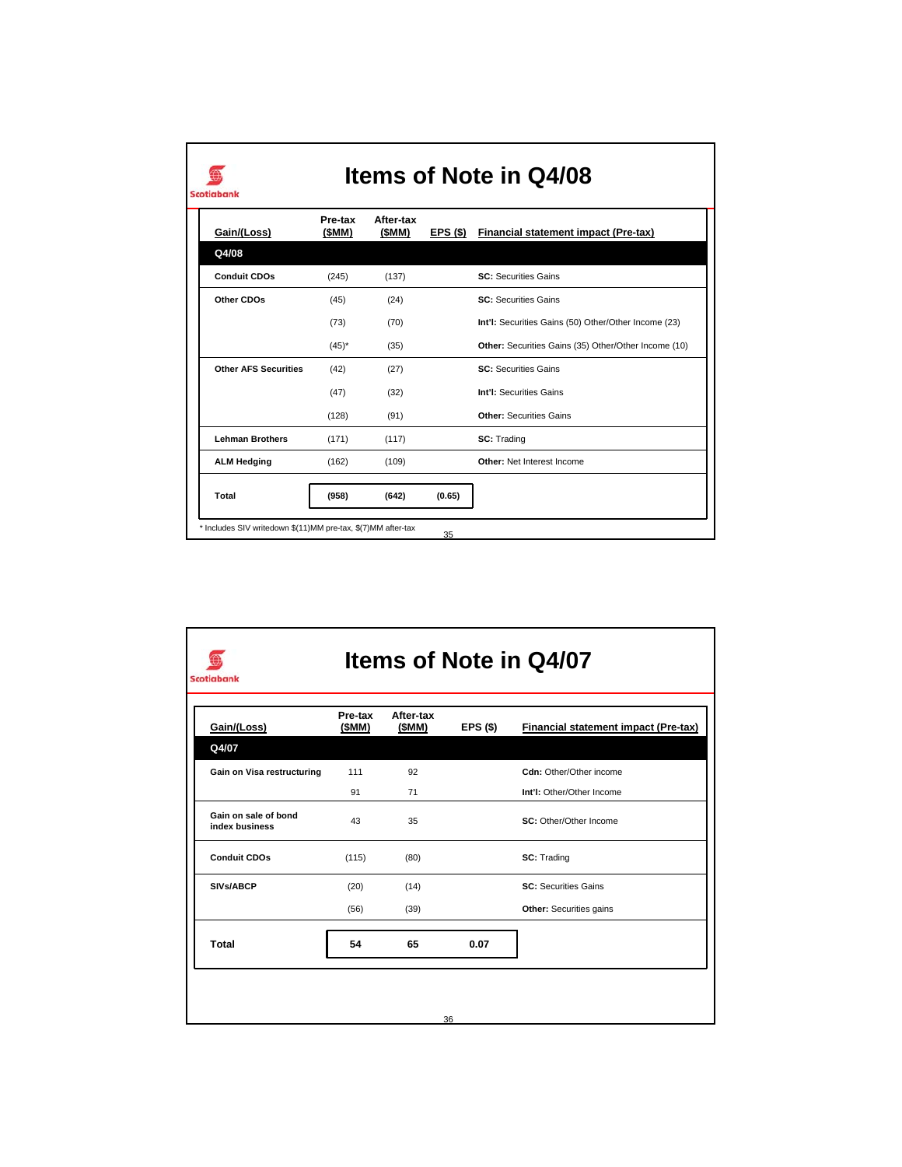| Gain/(Loss)                 | Pre-tax<br>(\$MM) | After-tax<br>(SMM) | EPS(S) | <b>Financial statement impact (Pre-tax)</b>          |
|-----------------------------|-------------------|--------------------|--------|------------------------------------------------------|
| Q4/08                       |                   |                    |        |                                                      |
| <b>Conduit CDOs</b>         | (245)             | (137)              |        | <b>SC: Securities Gains</b>                          |
| Other CDOs                  | (45)              | (24)               |        | <b>SC: Securities Gains</b>                          |
|                             | (73)              | (70)               |        | Int'I: Securities Gains (50) Other/Other Income (23) |
|                             | $(45)^*$          | (35)               |        | Other: Securities Gains (35) Other/Other Income (10) |
| <b>Other AFS Securities</b> | (42)              | (27)               |        | <b>SC: Securities Gains</b>                          |
|                             | (47)              | (32)               |        | Int'l: Securities Gains                              |
|                             | (128)             | (91)               |        | <b>Other: Securities Gains</b>                       |
| <b>Lehman Brothers</b>      | (171)             | (117)              |        | SC: Trading                                          |
| <b>ALM Hedging</b>          | (162)             | (109)              |        | Other: Net Interest Income                           |
| Total                       | (958)             | (642)              | (0.65) |                                                      |

 $\mathsf{I}$ 

| Gain/(Loss)                            | Pre-tax<br>(SMM) | After-tax<br>(SMM) | EPS (\$) | Financial statement impact (Pre-tax) |
|----------------------------------------|------------------|--------------------|----------|--------------------------------------|
| Q4/07                                  |                  |                    |          |                                      |
| Gain on Visa restructuring             | 111              | 92                 |          | Cdn: Other/Other income              |
|                                        | 91               | 71                 |          | Int'I: Other/Other Income            |
| Gain on sale of bond<br>index business | 43               | 35                 |          | SC: Other/Other Income               |
| <b>Conduit CDOs</b>                    | (115)            | (80)               |          | SC: Trading                          |
| SIVs/ABCP                              | (20)             | (14)               |          | <b>SC: Securities Gains</b>          |
|                                        | (56)             | (39)               |          | Other: Securities gains              |
| Total                                  | 54               | 65                 | 0.07     |                                      |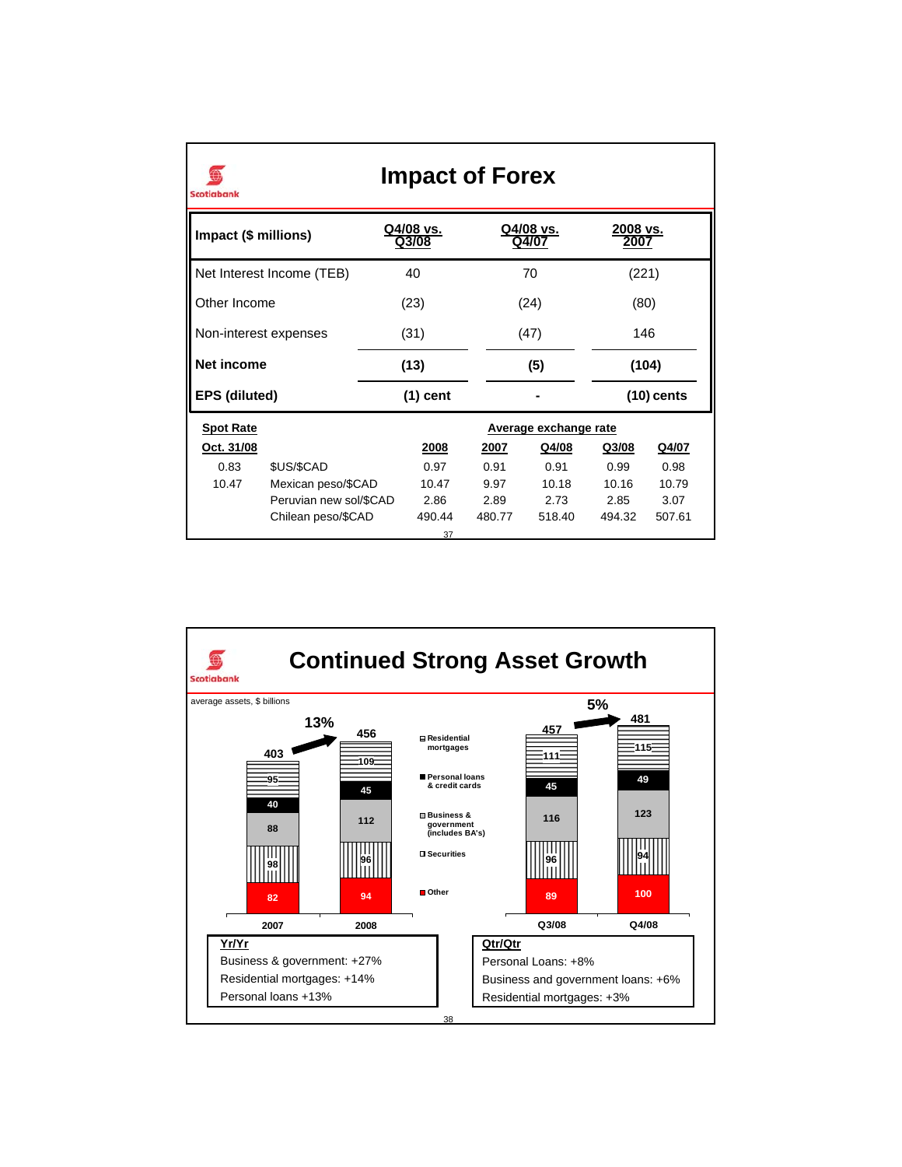| <b>Impact of Forex</b><br><b>Scotiabank</b> |                           |  |                                         |        |                       |  |                  |        |  |
|---------------------------------------------|---------------------------|--|-----------------------------------------|--------|-----------------------|--|------------------|--------|--|
|                                             | Impact (\$ millions)      |  | Q4/08 vs.<br>Q4/08 vs.<br>Q3/08<br>Q4/0 |        |                       |  | 2008 vs.<br>200. |        |  |
|                                             | Net Interest Income (TEB) |  | 40<br>70                                |        |                       |  | (221)            |        |  |
| Other Income                                |                           |  | (23)                                    |        | (24)                  |  | (80)             |        |  |
| Non-interest expenses                       |                           |  | (31)                                    |        | (47)                  |  | 146              |        |  |
|                                             | Net income                |  | (13)                                    |        | (5)                   |  | (104)            |        |  |
| <b>EPS (diluted)</b>                        |                           |  | $(1)$ cent                              |        |                       |  | $(10)$ cents     |        |  |
| <b>Spot Rate</b>                            |                           |  |                                         |        | Average exchange rate |  |                  |        |  |
| Oct. 31/08                                  |                           |  | 2008                                    | 2007   | Q4/08                 |  | Q3/08            | Q4/07  |  |
| 0.83                                        | \$US/\$CAD                |  | 0.97                                    | 0.91   | 0.91                  |  | 0.99             | 0.98   |  |
| 10.47                                       | Mexican peso/\$CAD        |  | 10.47                                   | 9.97   | 10.18                 |  | 10.16            | 10.79  |  |
|                                             | Peruvian new sol/\$CAD    |  | 2.86                                    | 2.89   | 2.73                  |  | 2.85             | 3.07   |  |
|                                             | Chilean peso/\$CAD        |  | 490.44                                  | 480.77 | 518.40                |  | 494.32           | 507.61 |  |
|                                             |                           |  | 37                                      |        |                       |  |                  |        |  |

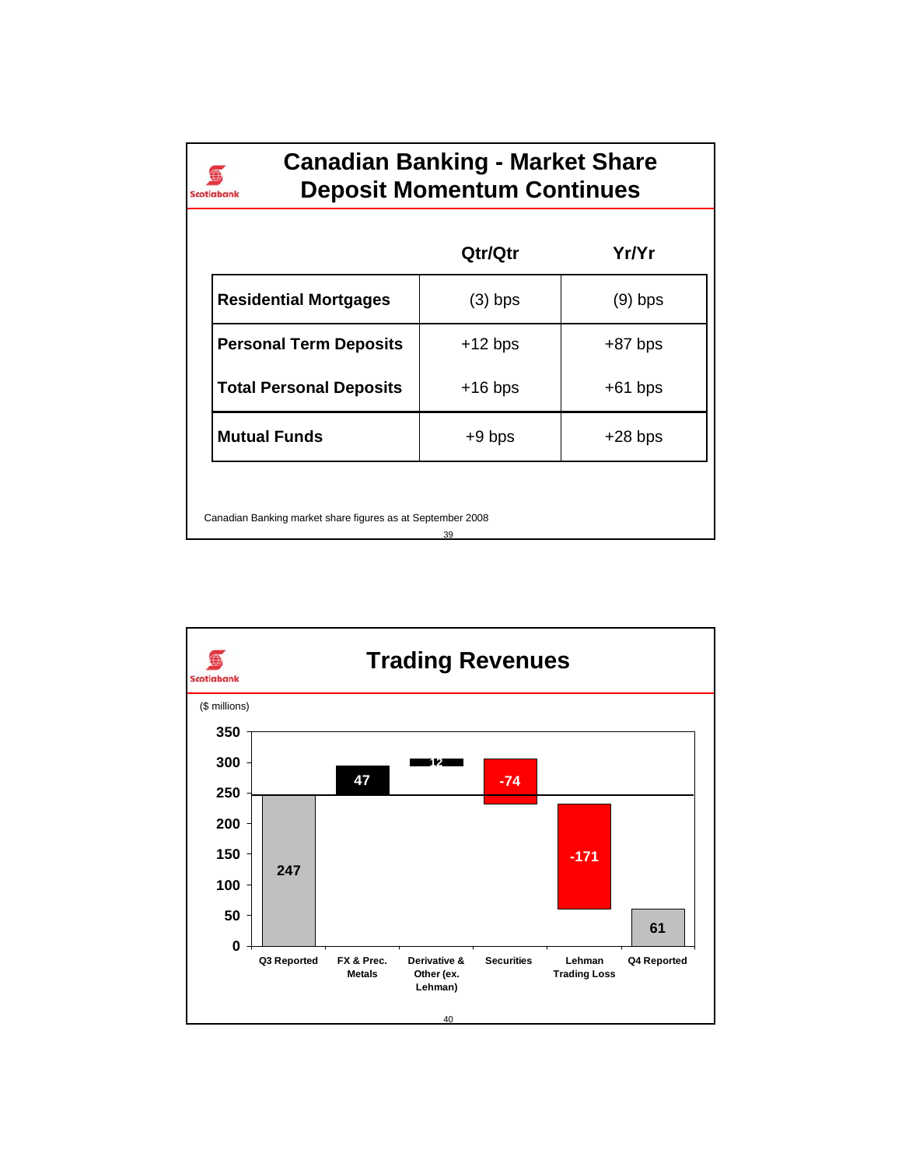| <b>Canadian Banking - Market Share</b> |
|----------------------------------------|
| <b>Deposit Momentum Continues</b>      |

 $\bigoplus$ Scotiabank

|                                                                  | Qtr/Qtr   | Yr/Yr     |  |  |  |
|------------------------------------------------------------------|-----------|-----------|--|--|--|
| <b>Residential Mortgages</b>                                     | (3) bps   | $(9)$ bps |  |  |  |
| <b>Personal Term Deposits</b>                                    | $+12$ bps | $+87$ bps |  |  |  |
| <b>Total Personal Deposits</b>                                   | $+16$ bps | $+61$ bps |  |  |  |
| <b>Mutual Funds</b>                                              | $+9$ bps  | $+28$ bps |  |  |  |
| Canadian Banking market share figures as at September 2008<br>39 |           |           |  |  |  |